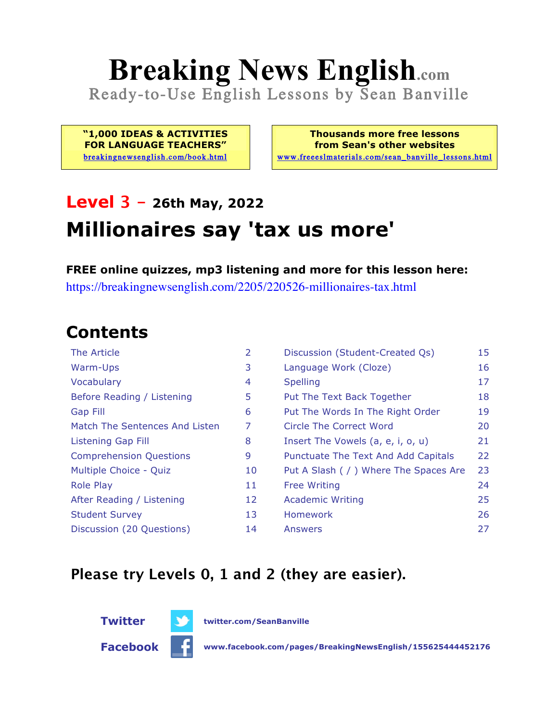# **Breaking News English.com**

Ready-to-Use English Lessons by Sean Banville

**"1,000 IDEAS & ACTIVITIES FOR LANGUAGE TEACHERS"** breakingnewsenglish.com/book.html

**Thousands more free lessons from Sean's other websites** www.freeeslmaterials.com/sean\_banville\_lessons.html

## **Level 3 - 26th May, 2022 Millionaires say 'tax us more'**

**FREE online quizzes, mp3 listening and more for this lesson here:** https://breakingnewsenglish.com/2205/220526-millionaires-tax.html

#### **Contents**

| The Article                    | 2  | Discussion (Student-Created Qs)        | 15 |
|--------------------------------|----|----------------------------------------|----|
| Warm-Ups                       | 3  | Language Work (Cloze)                  | 16 |
| Vocabulary                     | 4  | <b>Spelling</b>                        | 17 |
| Before Reading / Listening     | 5  | Put The Text Back Together             | 18 |
| <b>Gap Fill</b>                | 6  | Put The Words In The Right Order       | 19 |
| Match The Sentences And Listen | 7  | Circle The Correct Word                | 20 |
| <b>Listening Gap Fill</b>      | 8  | Insert The Vowels (a, e, i, o, u)      | 21 |
| <b>Comprehension Questions</b> | 9  | Punctuate The Text And Add Capitals    | 22 |
| Multiple Choice - Quiz         | 10 | Put A Slash ( / ) Where The Spaces Are | 23 |
| <b>Role Play</b>               | 11 | <b>Free Writing</b>                    | 24 |
| After Reading / Listening      | 12 | <b>Academic Writing</b>                | 25 |
| <b>Student Survey</b>          | 13 | <b>Homework</b>                        | 26 |
| Discussion (20 Questions)      | 14 | Answers                                | 27 |

#### **Please try Levels 0, 1 and 2 (they are easier).**



**Twitter Communist Property** twitter.com/SeanBanville

**Facebook www.facebook.com/pages/BreakingNewsEnglish/155625444452176**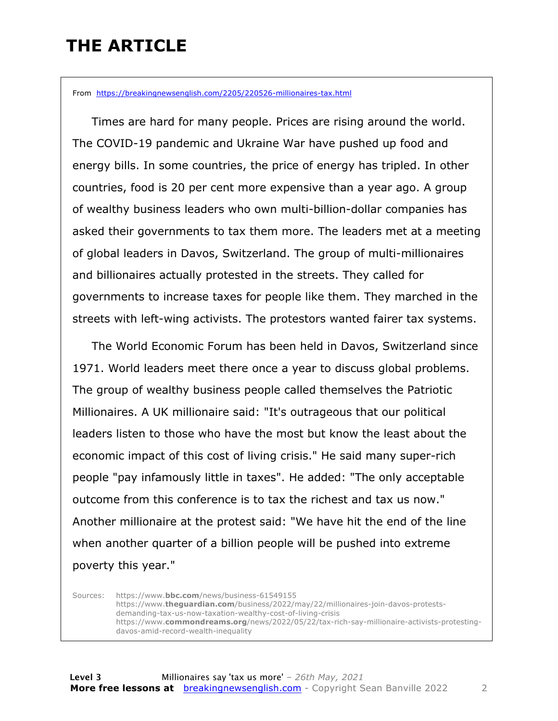### **THE ARTICLE**

From https://breakingnewsenglish.com/2205/220526-millionaires-tax.html

 Times are hard for many people. Prices are rising around the world. The COVID-19 pandemic and Ukraine War have pushed up food and energy bills. In some countries, the price of energy has tripled. In other countries, food is 20 per cent more expensive than a year ago. A group of wealthy business leaders who own multi-billion-dollar companies has asked their governments to tax them more. The leaders met at a meeting of global leaders in Davos, Switzerland. The group of multi-millionaires and billionaires actually protested in the streets. They called for governments to increase taxes for people like them. They marched in the streets with left-wing activists. The protestors wanted fairer tax systems.

 The World Economic Forum has been held in Davos, Switzerland since 1971. World leaders meet there once a year to discuss global problems. The group of wealthy business people called themselves the Patriotic Millionaires. A UK millionaire said: "It's outrageous that our political leaders listen to those who have the most but know the least about the economic impact of this cost of living crisis." He said many super-rich people "pay infamously little in taxes". He added: "The only acceptable outcome from this conference is to tax the richest and tax us now." Another millionaire at the protest said: "We have hit the end of the line when another quarter of a billion people will be pushed into extreme poverty this year."

Sources: https://www.**bbc.com**/news/business-61549155 https://www.**theguardian.com**/business/2022/may/22/millionaires-join-davos-protestsdemanding-tax-us-now-taxation-wealthy-cost-of-living-crisis https://www.**commondreams.org**/news/2022/05/22/tax-rich-say-millionaire-activists-protestingdavos-amid-record-wealth-inequality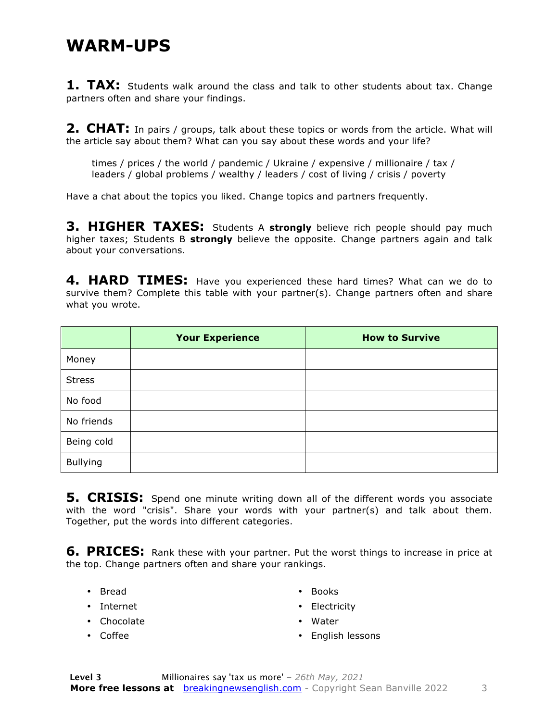#### **WARM-UPS**

**1. TAX:** Students walk around the class and talk to other students about tax. Change partners often and share your findings.

**2. CHAT:** In pairs / groups, talk about these topics or words from the article. What will the article say about them? What can you say about these words and your life?

times / prices / the world / pandemic / Ukraine / expensive / millionaire / tax / leaders / global problems / wealthy / leaders / cost of living / crisis / poverty

Have a chat about the topics you liked. Change topics and partners frequently.

**3. HIGHER TAXES:** Students A strongly believe rich people should pay much higher taxes; Students B **strongly** believe the opposite. Change partners again and talk about your conversations.

**4. HARD TIMES:** Have you experienced these hard times? What can we do to survive them? Complete this table with your partner(s). Change partners often and share what you wrote.

|               | <b>Your Experience</b> | <b>How to Survive</b> |
|---------------|------------------------|-----------------------|
| Money         |                        |                       |
| <b>Stress</b> |                        |                       |
| No food       |                        |                       |
| No friends    |                        |                       |
| Being cold    |                        |                       |
| Bullying      |                        |                       |

**5. CRISIS:** Spend one minute writing down all of the different words you associate with the word "crisis". Share your words with your partner(s) and talk about them. Together, put the words into different categories.

**6. PRICES:** Rank these with your partner. Put the worst things to increase in price at the top. Change partners often and share your rankings.

- Bread
- Internet
- Chocolate
- Coffee
- Books
- Electricity
- Water
- English lessons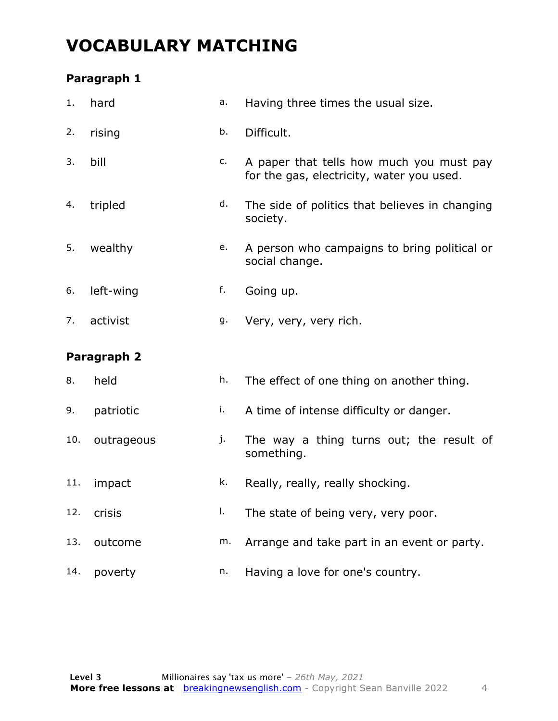#### **VOCABULARY MATCHING**

#### **Paragraph 1**

| 1.  | hard        | a. | Having three times the usual size.                                                    |
|-----|-------------|----|---------------------------------------------------------------------------------------|
| 2.  | rising      | b. | Difficult.                                                                            |
| 3.  | bill        | c. | A paper that tells how much you must pay<br>for the gas, electricity, water you used. |
| 4.  | tripled     | d. | The side of politics that believes in changing<br>society.                            |
| 5.  | wealthy     | e. | A person who campaigns to bring political or<br>social change.                        |
| 6.  | left-wing   | f. | Going up.                                                                             |
| 7.  | activist    | g. | Very, very, very rich.                                                                |
|     |             |    |                                                                                       |
|     | Paragraph 2 |    |                                                                                       |
| 8.  | held        | h. | The effect of one thing on another thing.                                             |
| 9.  | patriotic   | j, | A time of intense difficulty or danger.                                               |
| 10. | outrageous  | j. | The way a thing turns out; the result of<br>something.                                |
| 11. | impact      | k. | Really, really, really shocking.                                                      |
| 12. | crisis      | I. | The state of being very, very poor.                                                   |
| 13. | outcome     | m. | Arrange and take part in an event or party.                                           |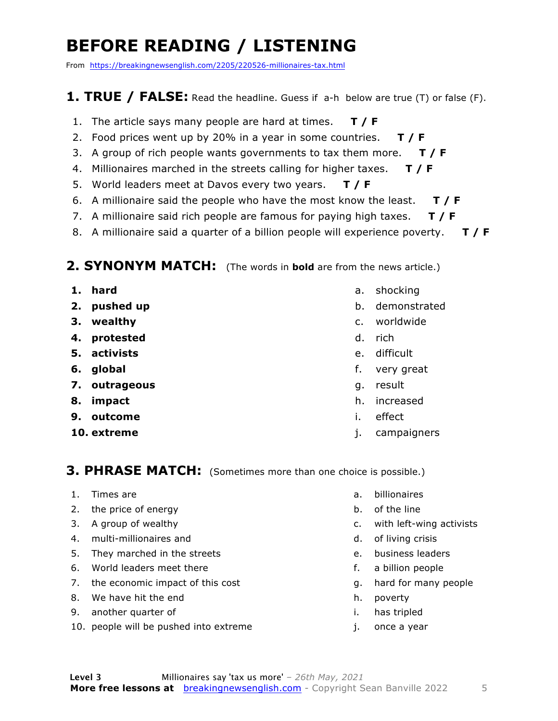### **BEFORE READING / LISTENING**

From https://breakingnewsenglish.com/2205/220526-millionaires-tax.html

#### **1. TRUE / FALSE:** Read the headline. Guess if a-h below are true (T) or false (F).

- 1. The article says many people are hard at times. **T / F**
- 2. Food prices went up by 20% in a year in some countries. **T / F**
- 3. A group of rich people wants governments to tax them more. **T / F**
- 4. Millionaires marched in the streets calling for higher taxes. **T / F**
- 5. World leaders meet at Davos every two years. **T / F**
- 6. A millionaire said the people who have the most know the least. **T / F**
- 7. A millionaire said rich people are famous for paying high taxes. **T / F**
- 8. A millionaire said a quarter of a billion people will experience poverty. **T / F**

#### **2. SYNONYM MATCH:** (The words in **bold** are from the news article.)

- **1. hard**
- **2. pushed up**
- **3. wealthy**
- **4. protested**
- **5. activists**
- **6. global**
- **7. outrageous**
- **8. impact**
- **9. outcome**
- **10. extreme**
- a. shocking
- b. demonstrated
- c. worldwide
- d. rich
- e. difficult
- f. very great
- g. result
- h. increased
- i. effect
- j. campaigners

#### **3. PHRASE MATCH:** (Sometimes more than one choice is possible.)

- 1. Times are
- 2. the price of energy
- 3. A group of wealthy
- 4. multi-millionaires and
- 5. They marched in the streets
- 6. World leaders meet there
- 7. the economic impact of this cost
- 8. We have hit the end
- 9. another quarter of
- 10. people will be pushed into extreme
- a. billionaires
- b. of the line
- c. with left-wing activists
- d. of living crisis
- e. business leaders
- f. a billion people
- g. hard for many people
- h. poverty
- i. has tripled
- j. once a year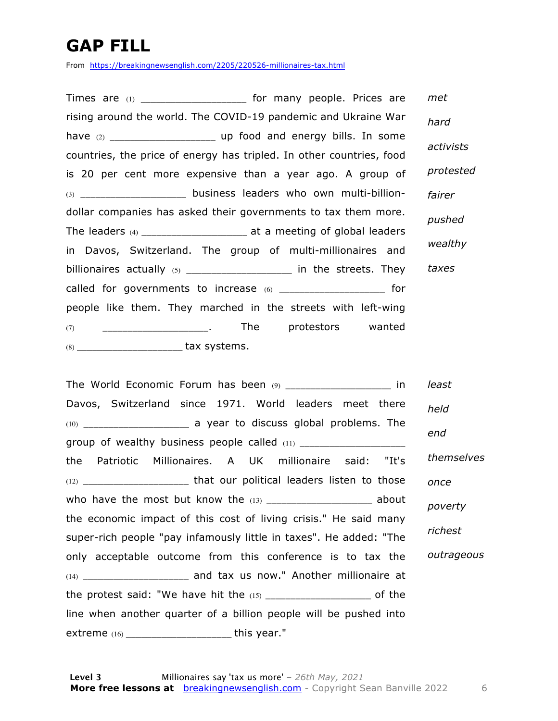### **GAP FILL**

From https://breakingnewsenglish.com/2205/220526-millionaires-tax.html

Times are (1) \_\_\_\_\_\_\_\_\_\_\_\_\_\_\_\_\_\_\_\_\_\_\_ for many people. Prices are rising around the world. The COVID-19 pandemic and Ukraine War have (2) \_\_\_\_\_\_\_\_\_\_\_\_\_\_\_\_\_\_\_\_\_ up food and energy bills. In some countries, the price of energy has tripled. In other countries, food is 20 per cent more expensive than a year ago. A group of  $(3)$  \_\_\_\_\_\_\_\_\_\_\_\_\_\_\_\_\_\_\_\_\_\_\_ business leaders who own multi-billiondollar companies has asked their governments to tax them more. The leaders  $(4)$  \_\_\_\_\_\_\_\_\_\_\_\_\_\_\_\_\_\_\_\_\_\_\_\_\_ at a meeting of global leaders in Davos, Switzerland. The group of multi-millionaires and billionaires actually  $(5)$  \_\_\_\_\_\_\_\_\_\_\_\_\_\_\_\_\_\_\_\_\_\_\_\_ in the streets. They called for governments to increase  $(6)$  \_\_\_\_\_\_\_\_\_\_\_\_\_\_\_\_\_\_\_\_\_\_\_\_\_\_ for people like them. They marched in the streets with left-wing (7) \_\_\_\_\_\_\_\_\_\_\_\_\_\_\_\_\_\_\_\_\_. The protestors wanted (8) \_\_\_\_\_\_\_\_\_\_\_\_\_\_\_\_\_\_\_\_\_ tax systems. *met hard activists protested fairer pushed wealthy taxes*

The World Economic Forum has been (9) \_\_\_\_\_\_\_\_\_\_\_\_\_\_\_\_\_\_\_\_\_\_\_ in Davos, Switzerland since 1971. World leaders meet there (10) \_\_\_\_\_\_\_\_\_\_\_\_\_\_\_\_\_\_\_\_\_ a year to discuss global problems. The group of wealthy business people called (11) \_\_\_\_\_\_\_\_\_\_\_\_\_\_\_\_\_\_\_\_\_ the Patriotic Millionaires. A UK millionaire said: "It's (12) \_\_\_\_\_\_\_\_\_\_\_\_\_\_\_\_\_\_\_\_\_ that our political leaders listen to those who have the most but know the  $(13)$  \_\_\_\_\_\_\_\_\_\_\_\_\_\_\_\_\_\_\_\_\_\_\_\_\_ about the economic impact of this cost of living crisis." He said many super-rich people "pay infamously little in taxes". He added: "The only acceptable outcome from this conference is to tax the (14) \_\_\_\_\_\_\_\_\_\_\_\_\_\_\_\_\_\_\_\_\_ and tax us now." Another millionaire at the protest said: "We have hit the  $(15)$  \_\_\_\_\_\_\_\_\_\_\_\_\_\_\_\_\_\_\_\_\_\_\_ of the line when another quarter of a billion people will be pushed into extreme (16) \_\_\_\_\_\_\_\_\_\_\_\_\_\_\_\_\_\_\_\_\_ this year." *least held end themselves once poverty richest outrageous*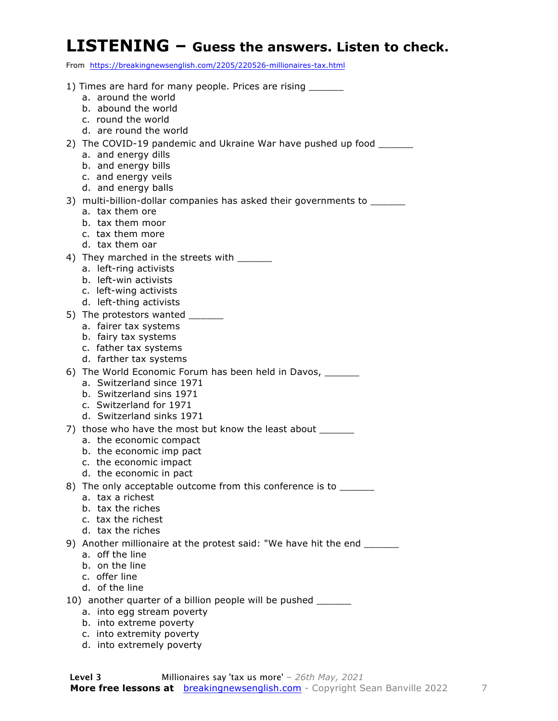#### **LISTENING – Guess the answers. Listen to check.**

From https://breakingnewsenglish.com/2205/220526-millionaires-tax.html

- 1) Times are hard for many people. Prices are rising a. around the world b. abound the world c. round the world d. are round the world 2) The COVID-19 pandemic and Ukraine War have pushed up food \_\_\_\_\_\_\_ a. and energy dills b. and energy bills c. and energy veils d. and energy balls 3) multi-billion-dollar companies has asked their governments to \_\_\_\_\_\_\_ a. tax them ore b. tax them moor c. tax them more d. tax them oar 4) They marched in the streets with \_\_\_\_\_ a. left-ring activists b. left-win activists c. left-wing activists d. left-thing activists 5) The protestors wanted \_\_\_\_\_\_\_ a. fairer tax systems b. fairy tax systems c. father tax systems d. farther tax systems 6) The World Economic Forum has been held in Davos, a. Switzerland since 1971 b. Switzerland sins 1971 c. Switzerland for 1971 d. Switzerland sinks 1971 7) those who have the most but know the least about \_\_\_\_\_\_ a. the economic compact b. the economic imp pact c. the economic impact d. the economic in pact 8) The only acceptable outcome from this conference is to a. tax a richest b. tax the riches c. tax the richest d. tax the riches 9) Another millionaire at the protest said: "We have hit the end \_\_\_\_\_\_ a. off the line b. on the line c. offer line d. of the line 10) another quarter of a billion people will be pushed \_\_\_\_\_ a. into egg stream poverty b. into extreme poverty
	- c. into extremity poverty
	- d. into extremely poverty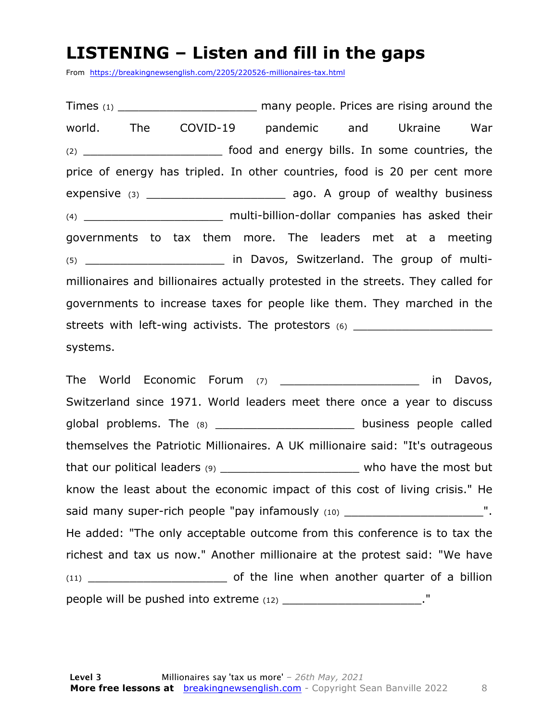#### **LISTENING – Listen and fill in the gaps**

From https://breakingnewsenglish.com/2205/220526-millionaires-tax.html

Times (1) Times (1) Times (1) and the many people. Prices are rising around the world. The COVID-19 pandemic and Ukraine War (2) \_\_\_\_\_\_\_\_\_\_\_\_\_\_\_\_\_\_\_\_ food and energy bills. In some countries, the price of energy has tripled. In other countries, food is 20 per cent more expensive (3) **Expensive** (3) **Expensive (3) Expensive** (3) (4) \_\_\_\_\_\_\_\_\_\_\_\_\_\_\_\_\_\_\_\_ multi-billion-dollar companies has asked their governments to tax them more. The leaders met at a meeting (5) \_\_\_\_\_\_\_\_\_\_\_\_\_\_\_\_\_\_\_\_ in Davos, Switzerland. The group of multimillionaires and billionaires actually protested in the streets. They called for governments to increase taxes for people like them. They marched in the streets with left-wing activists. The protestors  $(6)$ systems.

The World Economic Forum (7) \_\_\_\_\_\_\_\_\_\_\_\_\_\_\_\_\_\_\_\_ in Davos, Switzerland since 1971. World leaders meet there once a year to discuss global problems. The (8) \_\_\_\_\_\_\_\_\_\_\_\_\_\_\_\_\_\_\_\_\_\_\_\_ business people called themselves the Patriotic Millionaires. A UK millionaire said: "It's outrageous that our political leaders (9) denoting that who have the most but know the least about the economic impact of this cost of living crisis." He said many super-rich people "pay infamously (10) \_\_\_\_\_\_\_\_\_\_\_\_\_\_\_\_\_\_\_\_\_\_\_\_\_\_\_". He added: "The only acceptable outcome from this conference is to tax the richest and tax us now." Another millionaire at the protest said: "We have (11) \_\_\_\_\_\_\_\_\_\_\_\_\_\_\_\_\_\_\_\_ of the line when another quarter of a billion people will be pushed into extreme (12) \_\_\_\_\_\_\_\_\_\_\_\_\_\_\_\_\_\_\_\_."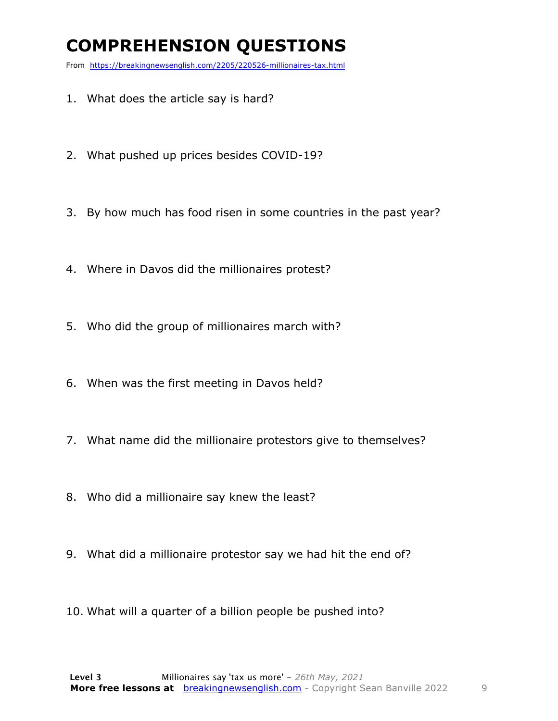### **COMPREHENSION QUESTIONS**

From https://breakingnewsenglish.com/2205/220526-millionaires-tax.html

- 1. What does the article say is hard?
- 2. What pushed up prices besides COVID-19?
- 3. By how much has food risen in some countries in the past year?
- 4. Where in Davos did the millionaires protest?
- 5. Who did the group of millionaires march with?
- 6. When was the first meeting in Davos held?
- 7. What name did the millionaire protestors give to themselves?
- 8. Who did a millionaire say knew the least?
- 9. What did a millionaire protestor say we had hit the end of?
- 10. What will a quarter of a billion people be pushed into?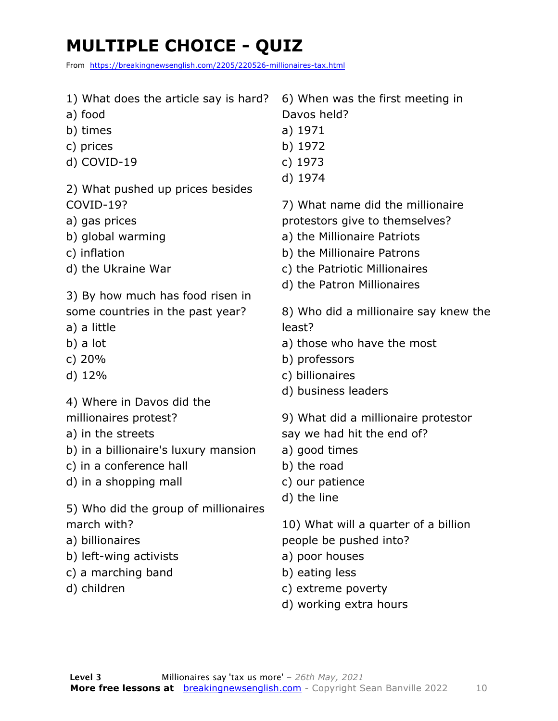### **MULTIPLE CHOICE - QUIZ**

From https://breakingnewsenglish.com/2205/220526-millionaires-tax.html

- 1) What does the article say is hard?
- a) food
- b) times
- c) prices
- d) COVID-19
- 2) What pushed up prices besides COVID-19?
- a) gas prices
- b) global warming
- c) inflation
- d) the Ukraine War
- 3) By how much has food risen in some countries in the past year?
- a) a little
- 
- b) a lot
- c) 20%
- d) 12%
- 4) Where in Davos did the
- millionaires protest?
- a) in the streets
- b) in a billionaire's luxury mansion
- c) in a conference hall
- d) in a shopping mall
- 5) Who did the group of millionaires march with?
- a) billionaires
- b) left-wing activists
- c) a marching band
- d) children
- 6) When was the first meeting in Davos held?
- a) 1971
- b) 1972
- c) 1973
- d) 1974
- 7) What name did the millionaire
- protestors give to themselves?
- a) the Millionaire Patriots
- b) the Millionaire Patrons
- c) the Patriotic Millionaires
- d) the Patron Millionaires

8) Who did a millionaire say knew the least?

- a) those who have the most
- b) professors
- c) billionaires
- d) business leaders
- 9) What did a millionaire protestor
- say we had hit the end of?
- a) good times
- b) the road
- c) our patience
- d) the line

10) What will a quarter of a billion people be pushed into?

- a) poor houses
- b) eating less
- c) extreme poverty
- d) working extra hours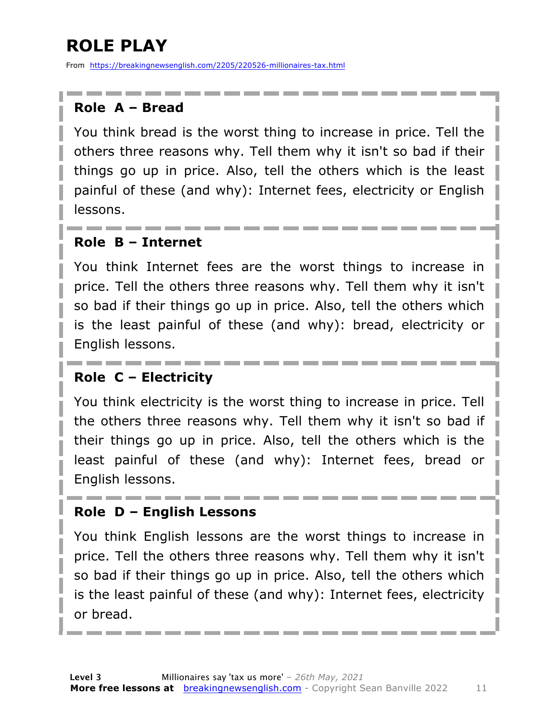### **ROLE PLAY**

From https://breakingnewsenglish.com/2205/220526-millionaires-tax.html

#### **Role A – Bread**

You think bread is the worst thing to increase in price. Tell the others three reasons why. Tell them why it isn't so bad if their things go up in price. Also, tell the others which is the least painful of these (and why): Internet fees, electricity or English lessons.

#### **Role B – Internet**

You think Internet fees are the worst things to increase in price. Tell the others three reasons why. Tell them why it isn't so bad if their things go up in price. Also, tell the others which is the least painful of these (and why): bread, electricity or English lessons.

#### **Role C – Electricity**

You think electricity is the worst thing to increase in price. Tell the others three reasons why. Tell them why it isn't so bad if their things go up in price. Also, tell the others which is the least painful of these (and why): Internet fees, bread or English lessons.

#### **Role D – English Lessons**

You think English lessons are the worst things to increase in price. Tell the others three reasons why. Tell them why it isn't so bad if their things go up in price. Also, tell the others which is the least painful of these (and why): Internet fees, electricity or bread.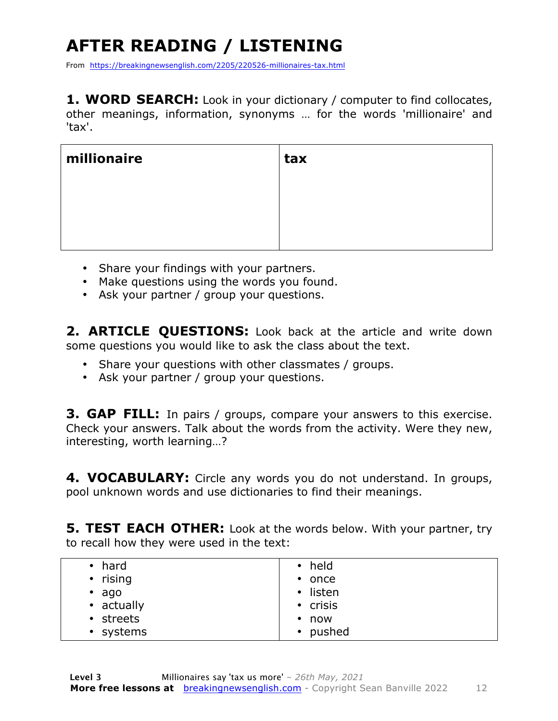## **AFTER READING / LISTENING**

From https://breakingnewsenglish.com/2205/220526-millionaires-tax.html

**1. WORD SEARCH:** Look in your dictionary / computer to find collocates, other meanings, information, synonyms … for the words 'millionaire' and 'tax'.

| millionaire | tax |
|-------------|-----|
|             |     |
|             |     |
|             |     |

- Share your findings with your partners.
- Make questions using the words you found.
- Ask your partner / group your questions.

**2. ARTICLE QUESTIONS:** Look back at the article and write down some questions you would like to ask the class about the text.

- Share your questions with other classmates / groups.
- Ask your partner / group your questions.

**3. GAP FILL:** In pairs / groups, compare your answers to this exercise. Check your answers. Talk about the words from the activity. Were they new, interesting, worth learning…?

**4. VOCABULARY:** Circle any words you do not understand. In groups, pool unknown words and use dictionaries to find their meanings.

**5. TEST EACH OTHER:** Look at the words below. With your partner, try to recall how they were used in the text:

| • held         |
|----------------|
| $\bullet$ once |
| • listen       |
| • crisis       |
| $\cdot$ now    |
| • pushed       |
|                |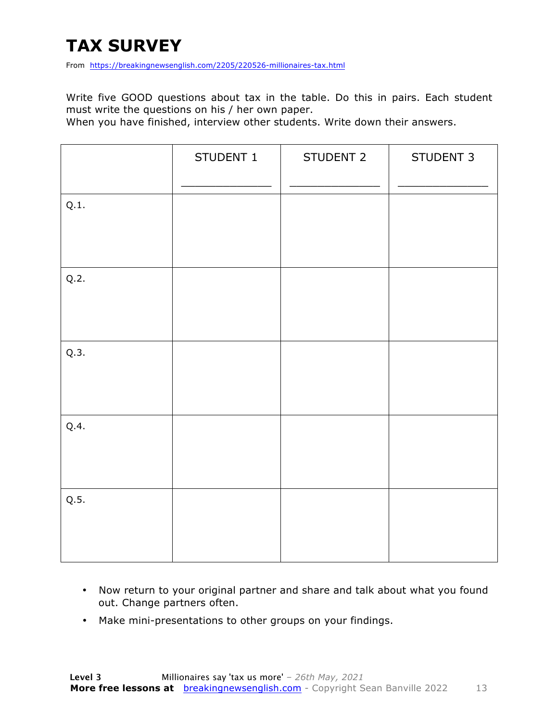### **TAX SURVEY**

From https://breakingnewsenglish.com/2205/220526-millionaires-tax.html

Write five GOOD questions about tax in the table. Do this in pairs. Each student must write the questions on his / her own paper.

When you have finished, interview other students. Write down their answers.

|      | STUDENT 1 | STUDENT 2 | STUDENT 3 |
|------|-----------|-----------|-----------|
| Q.1. |           |           |           |
| Q.2. |           |           |           |
| Q.3. |           |           |           |
| Q.4. |           |           |           |
| Q.5. |           |           |           |

- Now return to your original partner and share and talk about what you found out. Change partners often.
- Make mini-presentations to other groups on your findings.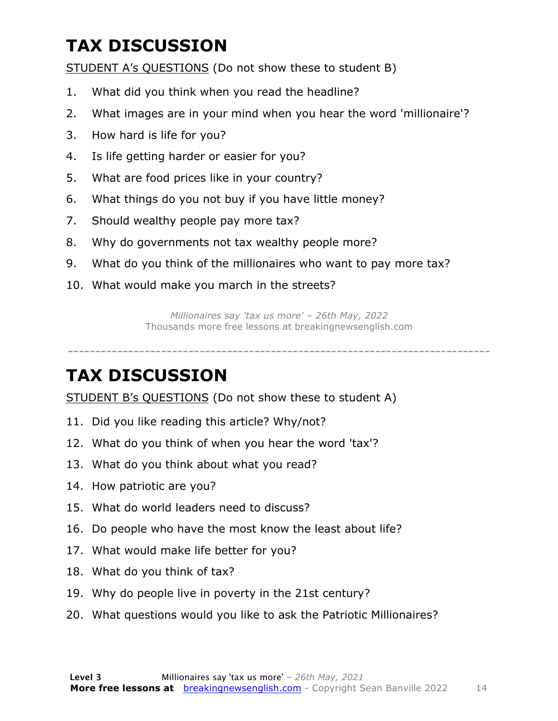### **TAX DISCUSSION**

STUDENT A's QUESTIONS (Do not show these to student B)

- 1. What did you think when you read the headline?
- 2. What images are in your mind when you hear the word 'millionaire'?
- 3. How hard is life for you?
- 4. Is life getting harder or easier for you?
- 5. What are food prices like in your country?
- 6. What things do you not buy if you have little money?
- 7. Should wealthy people pay more tax?
- 8. Why do governments not tax wealthy people more?
- 9. What do you think of the millionaires who want to pay more tax?
- 10. What would make you march in the streets?

*Millionaires say 'tax us more' – 26th May, 2022* Thousands more free lessons at breakingnewsenglish.com

-----------------------------------------------------------------------------

#### **TAX DISCUSSION**

STUDENT B's QUESTIONS (Do not show these to student A)

- 11. Did you like reading this article? Why/not?
- 12. What do you think of when you hear the word 'tax'?
- 13. What do you think about what you read?
- 14. How patriotic are you?
- 15. What do world leaders need to discuss?
- 16. Do people who have the most know the least about life?
- 17. What would make life better for you?
- 18. What do you think of tax?
- 19. Why do people live in poverty in the 21st century?
- 20. What questions would you like to ask the Patriotic Millionaires?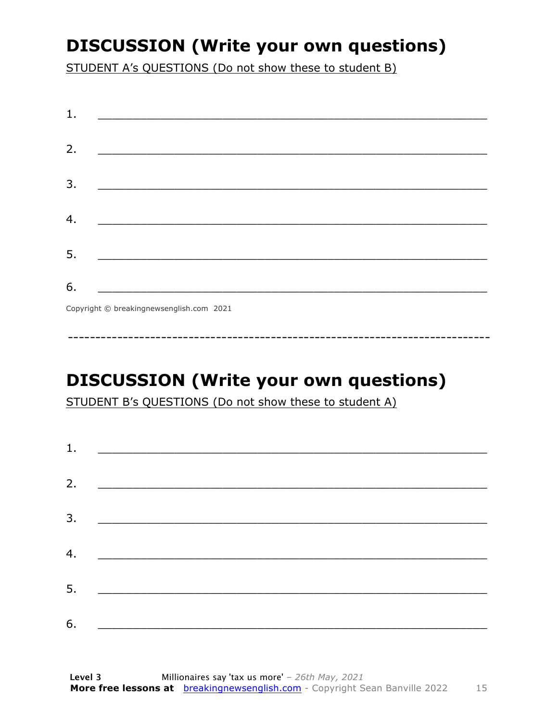### **DISCUSSION (Write your own questions)**

STUDENT A's QUESTIONS (Do not show these to student B)

| 1. |                                          |
|----|------------------------------------------|
|    |                                          |
| 2. |                                          |
|    |                                          |
| 3. |                                          |
|    |                                          |
|    |                                          |
| 4. |                                          |
|    |                                          |
| 5. |                                          |
|    |                                          |
| 6. |                                          |
|    | Copyright © breakingnewsenglish.com 2021 |

### **DISCUSSION (Write your own questions)**

STUDENT B's QUESTIONS (Do not show these to student A)

| 1. |                                                                                                                         |  |  |
|----|-------------------------------------------------------------------------------------------------------------------------|--|--|
|    |                                                                                                                         |  |  |
| 2. | <u> 1980 - Antonio Alemania, prima prestava postala de la provincia de la provincia de la provincia de la provincia</u> |  |  |
| 3. | <u> 1980 - Andrea Andrew Maria (h. 1980).</u>                                                                           |  |  |
|    |                                                                                                                         |  |  |
| 4. | <u> 1980 - Jan Barbara Barat, martin da basar da basar da basar da basar da basar da basar da basar da basar da b</u>   |  |  |
| 5. | <u> 1986 - Johann Stoff, deutscher Stoff und der Stoff und der Stoff und der Stoff und der Stoff und der Stoff und</u>  |  |  |
|    |                                                                                                                         |  |  |
| 6. |                                                                                                                         |  |  |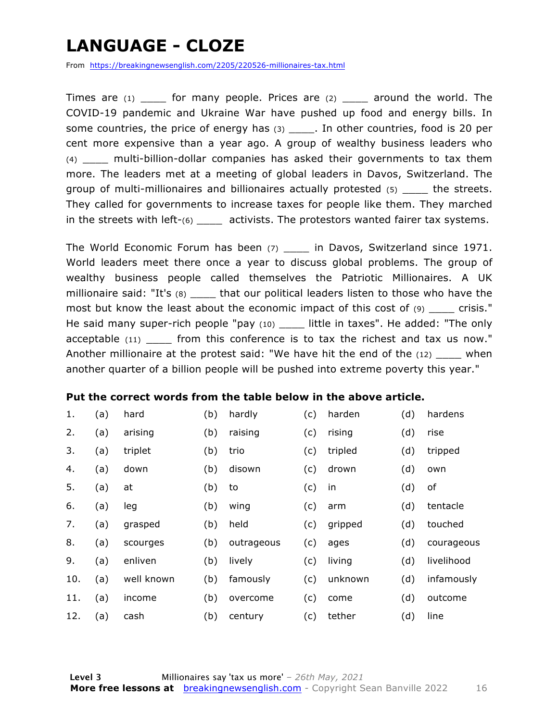### **LANGUAGE - CLOZE**

From https://breakingnewsenglish.com/2205/220526-millionaires-tax.html

Times are  $(1)$  for many people. Prices are  $(2)$  around the world. The COVID-19 pandemic and Ukraine War have pushed up food and energy bills. In some countries, the price of energy has (3) \_\_\_\_\_. In other countries, food is 20 per cent more expensive than a year ago. A group of wealthy business leaders who (4) \_\_\_\_ multi-billion-dollar companies has asked their governments to tax them more. The leaders met at a meeting of global leaders in Davos, Switzerland. The group of multi-millionaires and billionaires actually protested (5) \_\_\_\_ the streets. They called for governments to increase taxes for people like them. They marched in the streets with left- $(6)$  \_\_\_\_ activists. The protestors wanted fairer tax systems.

The World Economic Forum has been (7) \_\_\_\_\_ in Davos, Switzerland since 1971. World leaders meet there once a year to discuss global problems. The group of wealthy business people called themselves the Patriotic Millionaires. A UK millionaire said: "It's (8) \_\_\_\_\_ that our political leaders listen to those who have the most but know the least about the economic impact of this cost of (9) \_\_\_\_ crisis." He said many super-rich people "pay (10) \_\_\_\_ little in taxes". He added: "The only acceptable (11) \_\_\_\_\_ from this conference is to tax the richest and tax us now." Another millionaire at the protest said: "We have hit the end of the (12) \_\_\_\_ when another quarter of a billion people will be pushed into extreme poverty this year."

#### **Put the correct words from the table below in the above article.**

| 1.  | (a) | hard       | (b) | hardly     | (c) | harden  | (d) | hardens    |
|-----|-----|------------|-----|------------|-----|---------|-----|------------|
| 2.  | (a) | arising    | (b) | raising    | (c) | rising  | (d) | rise       |
| 3.  | (a) | triplet    | (b) | trio       | (c) | tripled | (d) | tripped    |
| 4.  | (a) | down       | (b) | disown     | (c) | drown   | (d) | own        |
| 5.  | (a) | at         | (b) | to         | (c) | in      | (d) | of         |
| 6.  | (a) | leg        | (b) | wing       | (c) | arm     | (d) | tentacle   |
| 7.  | (a) | grasped    | (b) | held       | (c) | gripped | (d) | touched    |
| 8.  | (a) | scourges   | (b) | outrageous | (c) | ages    | (d) | courageous |
| 9.  | (a) | enliven    | (b) | lively     | (c) | living  | (d) | livelihood |
| 10. | (a) | well known | (b) | famously   | (c) | unknown | (d) | infamously |
| 11. | (a) | income     | (b) | overcome   | (c) | come    | (d) | outcome    |
| 12. | (a) | cash       | (b) | century    | (c) | tether  | (d) | line       |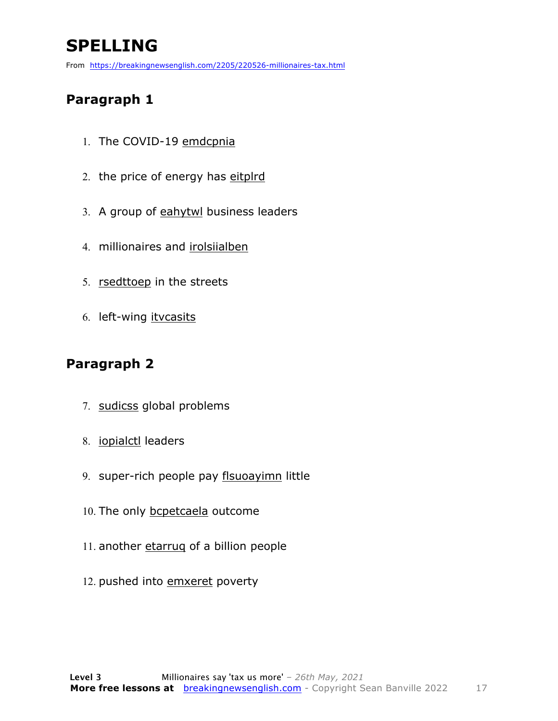### **SPELLING**

From https://breakingnewsenglish.com/2205/220526-millionaires-tax.html

#### **Paragraph 1**

- 1. The COVID-19 emdcpnia
- 2. the price of energy has eitplrd
- 3. A group of eahytwl business leaders
- 4. millionaires and irolsiialben
- 5. rsedttoep in the streets
- 6. left-wing itvcasits

#### **Paragraph 2**

- 7. sudicss global problems
- 8. iopialctl leaders
- 9. super-rich people pay flsuoayimn little
- 10. The only bcpetcaela outcome
- 11. another etarrug of a billion people
- 12. pushed into emxeret poverty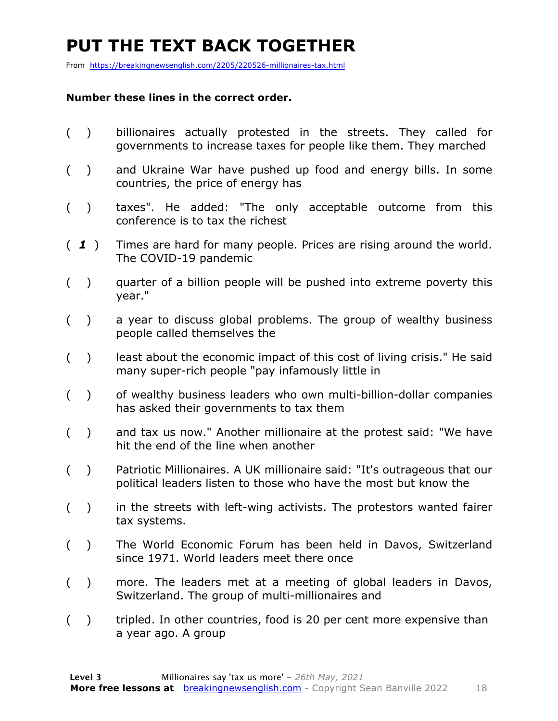### **PUT THE TEXT BACK TOGETHER**

From https://breakingnewsenglish.com/2205/220526-millionaires-tax.html

#### **Number these lines in the correct order.**

- ( ) billionaires actually protested in the streets. They called for governments to increase taxes for people like them. They marched
- ( ) and Ukraine War have pushed up food and energy bills. In some countries, the price of energy has
- ( ) taxes". He added: "The only acceptable outcome from this conference is to tax the richest
- ( *1* ) Times are hard for many people. Prices are rising around the world. The COVID-19 pandemic
- ( ) quarter of a billion people will be pushed into extreme poverty this year."
- ( ) a year to discuss global problems. The group of wealthy business people called themselves the
- $($ ) least about the economic impact of this cost of living crisis." He said many super-rich people "pay infamously little in
- ( ) of wealthy business leaders who own multi-billion-dollar companies has asked their governments to tax them
- ( ) and tax us now." Another millionaire at the protest said: "We have hit the end of the line when another
- ( ) Patriotic Millionaires. A UK millionaire said: "It's outrageous that our political leaders listen to those who have the most but know the
- $($ ) in the streets with left-wing activists. The protestors wanted fairer tax systems.
- ( ) The World Economic Forum has been held in Davos, Switzerland since 1971. World leaders meet there once
- ( ) more. The leaders met at a meeting of global leaders in Davos, Switzerland. The group of multi-millionaires and
- () tripled. In other countries, food is 20 per cent more expensive than a year ago. A group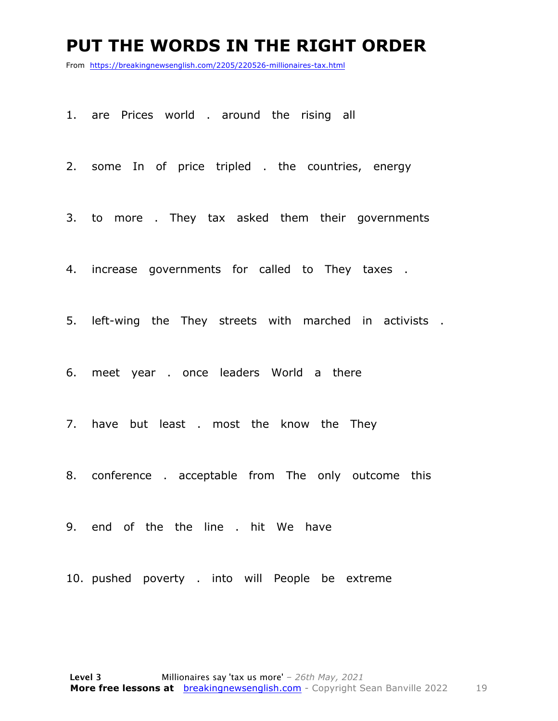#### **PUT THE WORDS IN THE RIGHT ORDER**

From https://breakingnewsenglish.com/2205/220526-millionaires-tax.html

1. are Prices world . around the rising all

2. some In of price tripled . the countries, energy

3. to more . They tax asked them their governments

4. increase governments for called to They taxes .

5. left-wing the They streets with marched in activists .

6. meet year . once leaders World a there

7. have but least . most the know the They

8. conference . acceptable from The only outcome this

9. end of the the line . hit We have

10. pushed poverty . into will People be extreme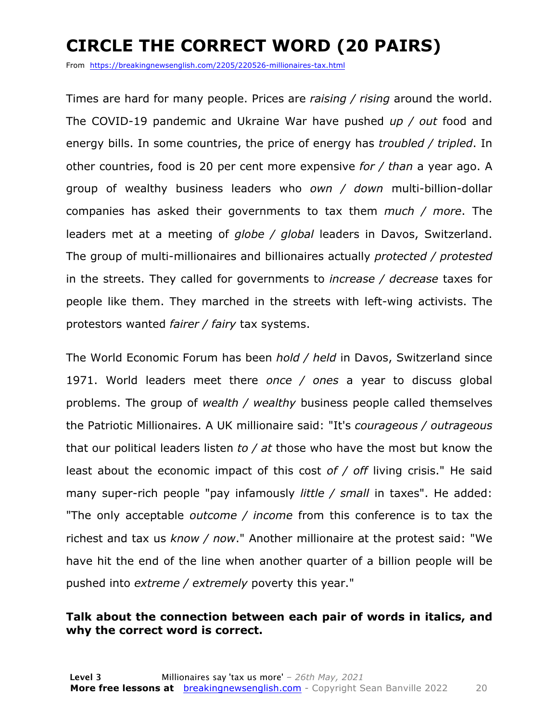### **CIRCLE THE CORRECT WORD (20 PAIRS)**

From https://breakingnewsenglish.com/2205/220526-millionaires-tax.html

Times are hard for many people. Prices are *raising / rising* around the world. The COVID-19 pandemic and Ukraine War have pushed *up / out* food and energy bills. In some countries, the price of energy has *troubled / tripled*. In other countries, food is 20 per cent more expensive *for / than* a year ago. A group of wealthy business leaders who *own / down* multi-billion-dollar companies has asked their governments to tax them *much / more*. The leaders met at a meeting of *globe / global* leaders in Davos, Switzerland. The group of multi-millionaires and billionaires actually *protected / protested* in the streets. They called for governments to *increase / decrease* taxes for people like them. They marched in the streets with left-wing activists. The protestors wanted *fairer / fairy* tax systems.

The World Economic Forum has been *hold / held* in Davos, Switzerland since 1971. World leaders meet there *once / ones* a year to discuss global problems. The group of *wealth / wealthy* business people called themselves the Patriotic Millionaires. A UK millionaire said: "It's *courageous / outrageous* that our political leaders listen *to / at* those who have the most but know the least about the economic impact of this cost *of / off* living crisis." He said many super-rich people "pay infamously *little / small* in taxes". He added: "The only acceptable *outcome / income* from this conference is to tax the richest and tax us *know / now*." Another millionaire at the protest said: "We have hit the end of the line when another quarter of a billion people will be pushed into *extreme / extremely* poverty this year."

#### **Talk about the connection between each pair of words in italics, and why the correct word is correct.**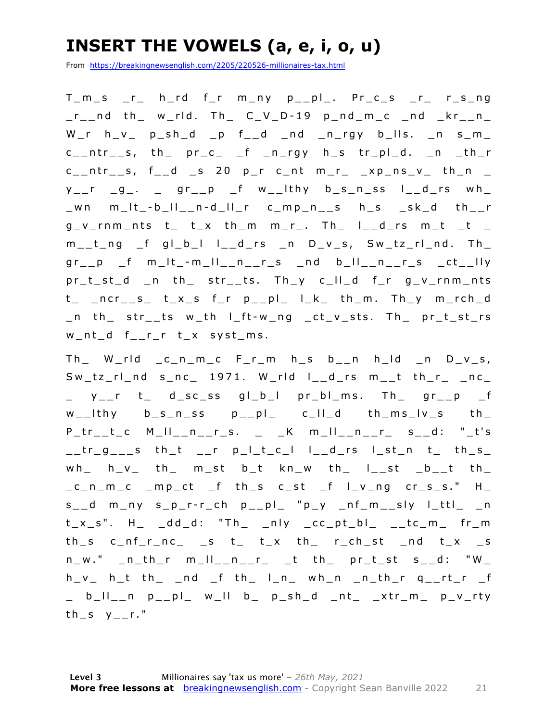### **INSERT THE VOWELS (a, e, i, o, u)**

From https://breakingnewsenglish.com/2205/220526-millionaires-tax.html

T\_m\_s \_r\_ h\_rd f\_r m\_ny p\_\_pl\_. Pr\_c\_s \_r\_ r\_s\_ng  $r_{\text{max}}$  and th\_ w\_rld. Th\_ C\_V\_D-19 p\_nd\_m\_c \_nd \_kr\_\_n\_  $W_r$  h\_v\_ p\_sh\_d \_p f\_\_d \_nd \_n\_rgy b\_lls. \_n s\_m\_  $c_{-n}$ tr<sub>--</sub>s, th<sub>-pr-c-f -n-rgy h<sub>-</sub>s tr<sub>-pl-d</sub>.  $_n$ -th-r</sub>  $c_{-}$ ntr<sub>--</sub>s, f<sub>--</sub>d <sub>-</sub>s 20 p<sub>-</sub>r c<sub>-</sub>nt m<sub>-</sub>r<sub>-</sub>  $\frac{1}{2}$ xp<sub>-</sub>ns<sub>-</sub>v<sub>-</sub> th<sub>-</sub>n <sub>-</sub>  $y_{-}$ r  $-g_{-}$ .  $_{-}$  gr $_{-}$ p  $_{-}$ f w $_{-}$ Ithy b $_{-}$ s n $_{-}$ ss I $_{-}$ d $_{-}$ rs wh $_{-}$ \_wn m\_lt\_ - b\_ll\_\_n - d\_ll\_r c\_mp\_n\_\_s h\_s \_sk\_d th\_\_r  $g_v$ -rnm\_nts t\_ t\_x th\_m m\_r\_. Th\_ l\_\_d\_rs m\_t \_t \_  $m_t_t_n$ ng f gl\_b\_l l\_\_d\_rs \_n D\_v\_s, Sw\_tz\_rl\_nd. Th\_  $gr_{-p}$   $f$   $m_lt_{-m_ll_{-n_{-}r_{-s_{-}}}$  and  $b_lt_{-n_{-}r_{-s_{-}}}$  and  $m_l$ pr\_t\_st\_d \_n th\_ str\_\_ts. Th\_y c\_ll\_d f\_r g\_v\_rnm\_nts t\_ \_ncr\_\_s\_ t\_x\_s f\_r p\_\_pl\_ l\_k\_ th\_m. Th\_y m\_rch\_d \_n th\_ str\_\_ts w\_th l\_ft - w\_ng \_ct\_v\_sts. Th\_ pr\_t\_st\_rs w\_nt\_d f\_\_r\_r t\_x syst\_ms.

 $Th$  W\_rld  $c$ \_n\_m\_c  $F$ \_r\_m  $h$ \_s  $b$ \_\_n  $h$ \_ld \_n  $D_v$ \_s,  $Sw_tz_t$ rl\_nd s\_nc\_ 1971. W\_rld l\_\_d\_rs m\_\_t th\_r\_ \_nc\_  $y$  r t d\_sc\_ss gl\_b\_l pr\_bl\_ms. Th gr\_p f  $w_{-}$ lthy  $b_{-}s_{-}n_{-}ss$  p $_{-}$ pl $_{-}$  c $_{-}$ ll $_{-}d$  th $_{-}m$ s $_{-}l$ v $_{-}s$  th $_{-}$  $P_{t-1}r_{t-1}c$   $M_{t-1}l_{t-1}r_{t-1}s$ .  $K_{t-1}m_{t-1}r_{t-1}r_{t-1}s$   $S_{t-1}d$ : "\_t's  $\_tr_g$  s th\_t  $\_r$  p\_l\_t\_c\_l l\_\_d\_rs l\_st\_n t\_ th\_s\_  $wh_$  h\_v\_ th\_ m\_st b\_t kn\_w th\_ l\_\_st \_b\_\_t th\_  $c_n$  must completed for the sect of laying crists." H  $s_$  d m\_ny  $s_p$ -r-r\_ch  $p_$ pl "p\_y \_nf\_m\_\_sly l\_ttl\_ \_n t\_x\_s". H\_ \_dd\_d: "Th\_ \_nly \_cc\_pt\_bl\_ \_\_tc\_m\_ fr\_m  $th\_s$  c\_nf\_r\_nc\_ \_s t\_ t\_x th\_ r\_ch\_st \_nd t\_x \_s  $n_w$ ."  $_n_t$ th\_r  $m_l$ ll\_\_n\_\_r\_ \_t th\_ pr\_t\_st s\_\_d: "W\_  $h_v$  h\_t th\_ \_nd \_f th\_ l\_n\_ wh\_n \_n\_th\_r q\_\_rt\_r \_f \_ b\_ll\_\_n p\_\_pl\_ w\_ll b\_ p\_sh\_d \_nt\_ \_xtr\_m\_ p\_v\_rty th  $s$  y  $r$ ."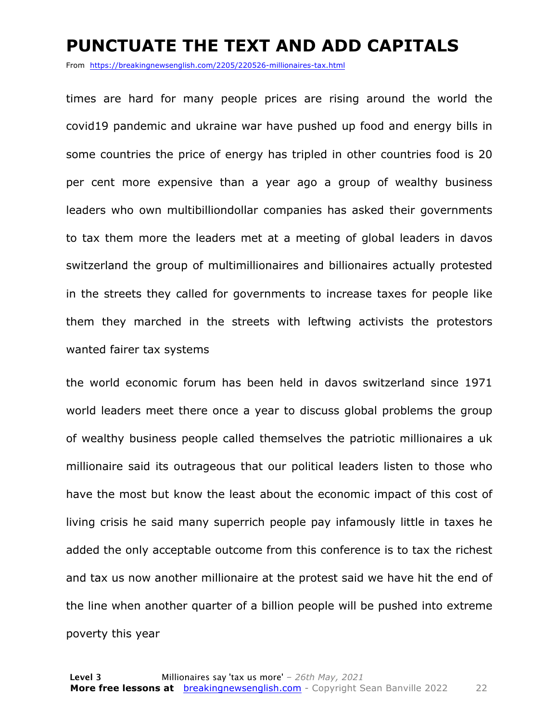#### **PUNCTUATE THE TEXT AND ADD CAPITALS**

From https://breakingnewsenglish.com/2205/220526-millionaires-tax.html

times are hard for many people prices are rising around the world the covid19 pandemic and ukraine war have pushed up food and energy bills in some countries the price of energy has tripled in other countries food is 20 per cent more expensive than a year ago a group of wealthy business leaders who own multibilliondollar companies has asked their governments to tax them more the leaders met at a meeting of global leaders in davos switzerland the group of multimillionaires and billionaires actually protested in the streets they called for governments to increase taxes for people like them they marched in the streets with leftwing activists the protestors wanted fairer tax systems

the world economic forum has been held in davos switzerland since 1971 world leaders meet there once a year to discuss global problems the group of wealthy business people called themselves the patriotic millionaires a uk millionaire said its outrageous that our political leaders listen to those who have the most but know the least about the economic impact of this cost of living crisis he said many superrich people pay infamously little in taxes he added the only acceptable outcome from this conference is to tax the richest and tax us now another millionaire at the protest said we have hit the end of the line when another quarter of a billion people will be pushed into extreme poverty this year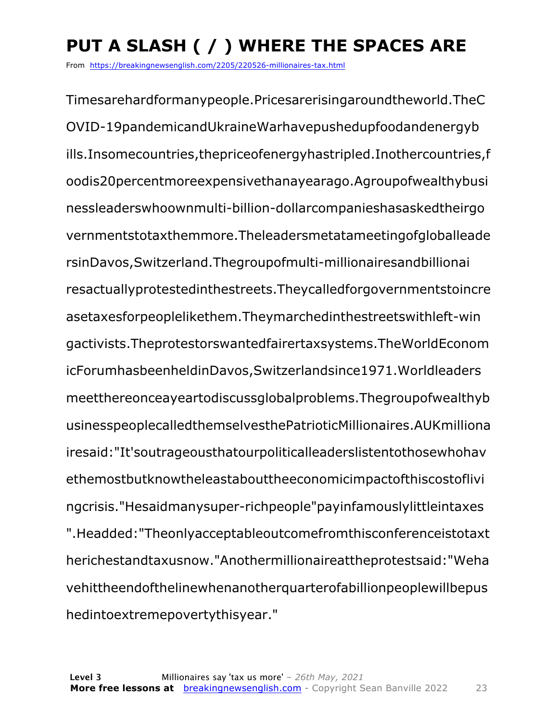### **PUT A SLASH ( / ) WHERE THE SPACES ARE**

From https://breakingnewsenglish.com/2205/220526-millionaires-tax.html

Timesarehardformanypeople.Pricesarerisingaroundtheworld.TheC OVID-19pandemicandUkraineWarhavepushedupfoodandenergyb ills.Insomecountries,thepriceofenergyhastripled.Inothercountries,f oodis20percentmoreexpensivethanayearago.Agroupofwealthybusi nessleaderswhoownmulti-billion-dollarcompanieshasaskedtheirgo vernmentstotaxthemmore.Theleadersmetatameetingofgloballeade rsinDavos,Switzerland.Thegroupofmulti-millionairesandbillionai resactuallyprotestedinthestreets.Theycalledforgovernmentstoincre asetaxesforpeoplelikethem.Theymarchedinthestreetswithleft-win gactivists.Theprotestorswantedfairertaxsystems.TheWorldEconom icForumhasbeenheldinDavos,Switzerlandsince1971.Worldleaders meetthereonceayeartodiscussglobalproblems.Thegroupofwealthyb usinesspeoplecalledthemselvesthePatrioticMillionaires.AUKmilliona iresaid:"It'soutrageousthatourpoliticalleaderslistentothosewhohav ethemostbutknowtheleastabouttheeconomicimpactofthiscostoflivi ngcrisis."Hesaidmanysuper-richpeople"payinfamouslylittleintaxes ".Headded:"Theonlyacceptableoutcomefromthisconferenceistotaxt herichestandtaxusnow."Anothermillionaireattheprotestsaid:"Weha vehittheendofthelinewhenanotherquarterofabillionpeoplewillbepus hedintoextremepovertythisyear."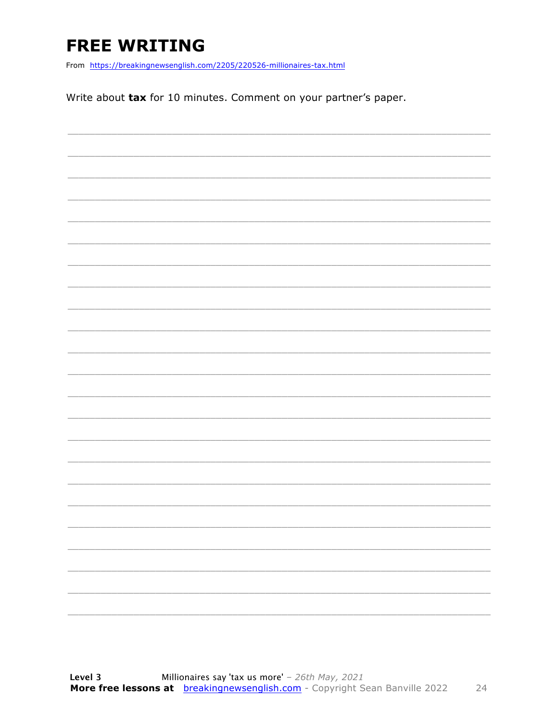### **FREE WRITING**

From https://breakingnewsenglish.com/2205/220526-millionaires-tax.html

Write about tax for 10 minutes. Comment on your partner's paper.

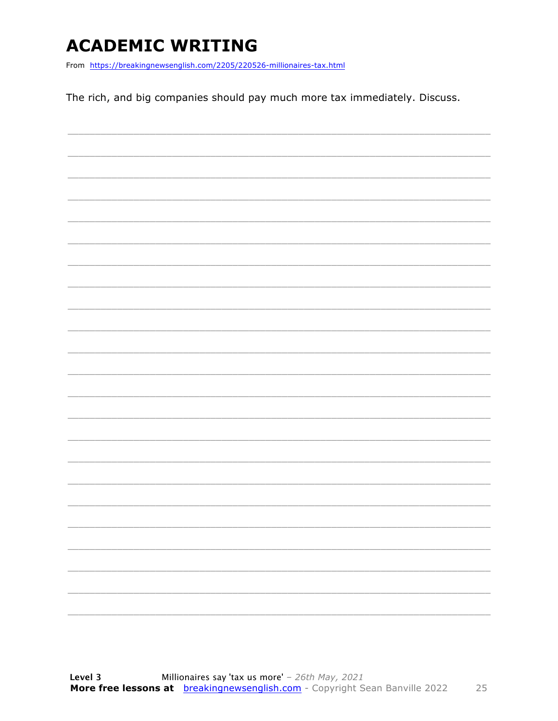### **ACADEMIC WRITING**

From https://breakingnewsenglish.com/2205/220526-millionaires-tax.html

The rich, and big companies should pay much more tax immediately. Discuss.

| $\overline{\phantom{a}}$ |  | _____     |
|--------------------------|--|-----------|
|                          |  |           |
|                          |  |           |
|                          |  |           |
| $\overline{\phantom{a}}$ |  | _________ |
|                          |  |           |
|                          |  |           |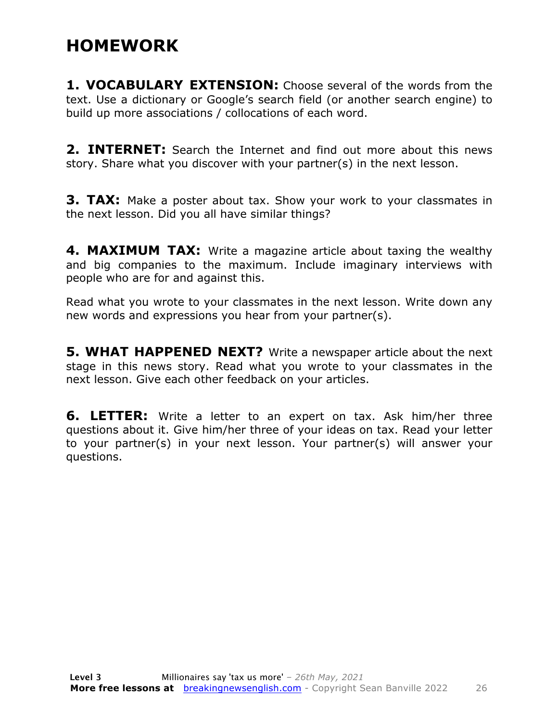#### **HOMEWORK**

**1. VOCABULARY EXTENSION:** Choose several of the words from the text. Use a dictionary or Google's search field (or another search engine) to build up more associations / collocations of each word.

**2. INTERNET:** Search the Internet and find out more about this news story. Share what you discover with your partner(s) in the next lesson.

**3. TAX:** Make a poster about tax. Show your work to your classmates in the next lesson. Did you all have similar things?

**4. MAXIMUM TAX:** Write a magazine article about taxing the wealthy and big companies to the maximum. Include imaginary interviews with people who are for and against this.

Read what you wrote to your classmates in the next lesson. Write down any new words and expressions you hear from your partner(s).

**5. WHAT HAPPENED NEXT?** Write a newspaper article about the next stage in this news story. Read what you wrote to your classmates in the next lesson. Give each other feedback on your articles.

**6. LETTER:** Write a letter to an expert on tax. Ask him/her three questions about it. Give him/her three of your ideas on tax. Read your letter to your partner(s) in your next lesson. Your partner(s) will answer your questions.